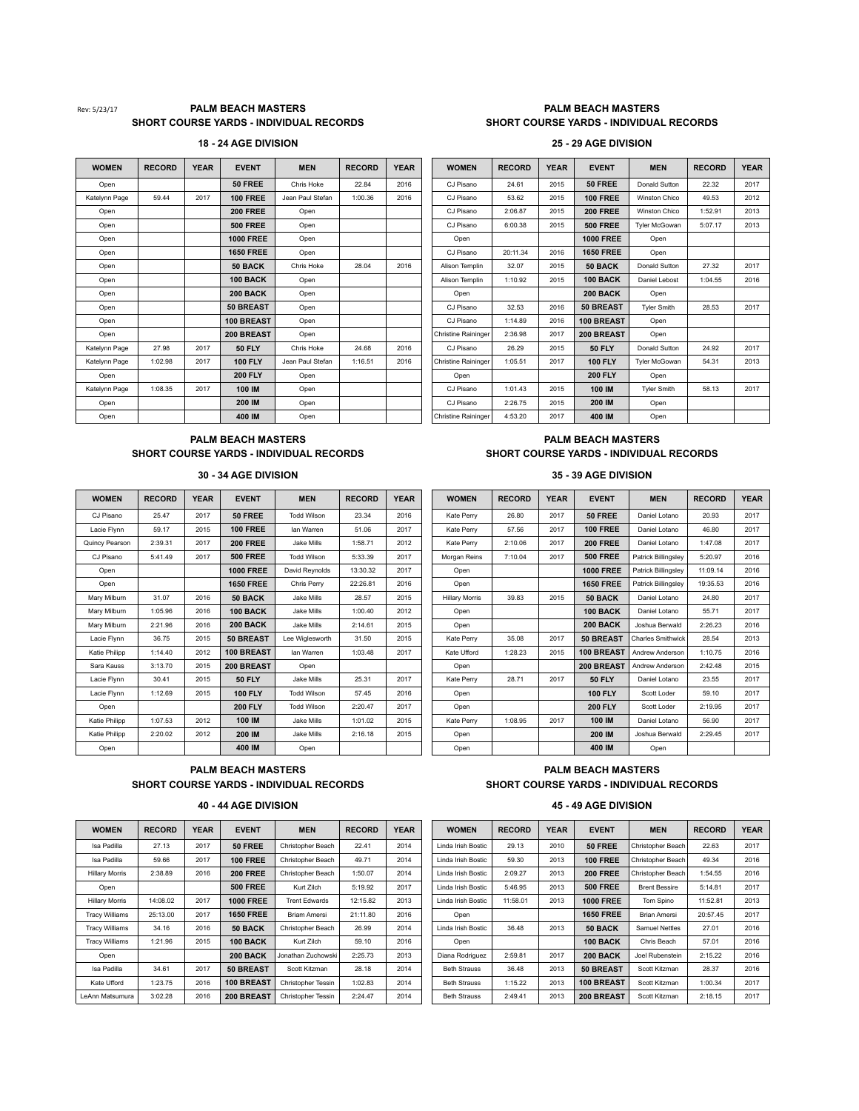### Rev: 5/23/17 **PALM BEACH MASTERS PALM BEACH MASTERS PALM BEACH MASTERS SHORT COURSE YARDS - INDIVIDUAL RECORDS SHORT COURSE YARDS - INDIVIDUAL RECORDS**

### **18 - 24 AGE DIVISION 25 - 29 AGE DIVISION**

| <b>WOMEN</b>  | <b>RECORD</b> | <b>YEAR</b> | <b>EVENT</b>     | <b>MEN</b>       | <b>RECORD</b> | <b>YEAR</b> | <b>WOMEN</b>               | <b>RECORD</b> | <b>YEAR</b> | <b>EVENT</b>     | <b>MEN</b>           | <b>RECORD</b> | <b>YEAR</b> |
|---------------|---------------|-------------|------------------|------------------|---------------|-------------|----------------------------|---------------|-------------|------------------|----------------------|---------------|-------------|
| Open          |               |             | <b>50 FREE</b>   | Chris Hoke       | 22.84         | 2016        | CJ Pisano                  | 24.61         | 2015        | <b>50 FREE</b>   | Donald Sutton        | 22.32         | 2017        |
| Katelynn Page | 59.44         | 2017        | <b>100 FREE</b>  | Jean Paul Stefan | 1:00.36       | 2016        | CJ Pisano                  | 53.62         | 2015        | <b>100 FREE</b>  | Winston Chico        | 49.53         | 2012        |
| Open          |               |             | <b>200 FREE</b>  | Open             |               |             | CJ Pisano                  | 2:06.87       | 2015        | <b>200 FREE</b>  | Winston Chico        | 1:52.91       | 2013        |
| Open          |               |             | <b>500 FREE</b>  | Open             |               |             | CJ Pisano                  | 6:00.38       | 2015        | <b>500 FREE</b>  | <b>Tvler McGowan</b> | 5:07.17       | 2013        |
| Open          |               |             | <b>1000 FREE</b> | Open             |               |             | Open                       |               |             | <b>1000 FREE</b> | Open                 |               |             |
| Open          |               |             | <b>1650 FREE</b> | Open             |               |             | CJ Pisano                  | 20:11.34      | 2016        | <b>1650 FREE</b> | Open                 |               |             |
| Open          |               |             | 50 BACK          | Chris Hoke       | 28.04         | 2016        | Alison Templin             | 32.07         | 2015        | 50 BACK          | Donald Sutton        | 27.32         | 2017        |
| Open          |               |             | 100 BACK         | Open             |               |             | Alison Templin             | 1:10.92       | 2015        | 100 BACK         | Daniel Lebost        | 1:04.55       | 2016        |
| Open          |               |             | 200 BACK         | Open             |               |             | Open                       |               |             | <b>200 BACK</b>  | Open                 |               |             |
| Open          |               |             | 50 BREAST        | Open             |               |             | CJ Pisano                  | 32.53         | 2016        | <b>50 BREAST</b> | <b>Tvler Smith</b>   | 28.53         | 2017        |
| Open          |               |             | 100 BREAST       | Open             |               |             | CJ Pisano                  | 1:14.89       | 2016        | 100 BREAST       | Open                 |               |             |
| Open          |               |             | 200 BREAST       | Open             |               |             | <b>Christine Raininger</b> | 2:36.98       | 2017        | 200 BREAST       | Open                 |               |             |
| Katelynn Page | 27.98         | 2017        | <b>50 FLY</b>    | Chris Hoke       | 24.68         | 2016        | CJ Pisano                  | 26.29         | 2015        | <b>50 FLY</b>    | Donald Sutton        | 24.92         | 2017        |
| Katelynn Page | 1:02.98       | 2017        | <b>100 FLY</b>   | Jean Paul Stefan | 1:16.51       | 2016        | Christine Raininger        | 1:05.51       | 2017        | <b>100 FLY</b>   | <b>Tvler McGowan</b> | 54.31         | 2013        |
| Open          |               |             | <b>200 FLY</b>   | Open             |               |             | Open                       |               |             | <b>200 FLY</b>   | Open                 |               |             |
| Katelynn Page | 1:08.35       | 2017        | 100 IM           | Open             |               |             | CJ Pisano                  | 1:01.43       | 2015        | 100 IM           | <b>Tyler Smith</b>   | 58.13         | 2017        |
| Open          |               |             | 200 IM           | Open             |               |             | CJ Pisano                  | 2:26.75       | 2015        | 200 IM           | Open                 |               |             |
| Open          |               |             | 400 IM           | Open             |               |             | <b>Christine Raininger</b> | 4:53.20       | 2017        | 400 IM           | Open                 |               |             |

| <b>OMEN</b> | <b>RECORD</b> | <b>YEAR</b> | <b>EVENT</b>     | <b>MEN</b>       | <b>RECORD</b> | <b>YEAR</b> | <b>WOMEN</b>               | <b>RECORD</b> | <b>YEAR</b> | <b>EVENT</b>     | <b>MEN</b>           | <b>RECORD</b> | <b>YEAR</b> |
|-------------|---------------|-------------|------------------|------------------|---------------|-------------|----------------------------|---------------|-------------|------------------|----------------------|---------------|-------------|
| Open        |               |             | 50 FREE          | Chris Hoke       | 22.84         | 2016        | CJ Pisano                  | 24.61         | 2015        | 50 FREE          | Donald Sutton        | 22.32         | 2017        |
| lynn Page   | 59.44         | 2017        | <b>100 FREE</b>  | Jean Paul Stefan | 1:00.36       | 2016        | CJ Pisano                  | 53.62         | 2015        | <b>100 FREE</b>  | Winston Chico        | 49.53         | 2012        |
| Open        |               |             | <b>200 FREE</b>  | Open             |               |             | CJ Pisano                  | 2:06.87       | 2015        | <b>200 FREE</b>  | Winston Chico        | 1:52.91       | 2013        |
| Open        |               |             | <b>500 FREE</b>  | Open             |               |             | CJ Pisano                  | 6:00.38       | 2015        | <b>500 FREE</b>  | <b>Tyler McGowan</b> | 5:07.17       | 2013        |
| Open        |               |             | <b>1000 FREE</b> | Open             |               |             | Open                       |               |             | <b>1000 FREE</b> | Open                 |               |             |
| Open        |               |             | <b>1650 FREE</b> | Open             |               |             | CJ Pisano                  | 20:11.34      | 2016        | <b>1650 FREE</b> | Open                 |               |             |
| Open        |               |             | 50 BACK          | Chris Hoke       | 28.04         | 2016        | Alison Templin             | 32.07         | 2015        | 50 BACK          | Donald Sutton        | 27.32         | 2017        |
| Open        |               |             | 100 BACK         | Open             |               |             | Alison Templin             | 1:10.92       | 2015        | 100 BACK         | Daniel Lebost        | 1:04.55       | 2016        |
| Open        |               |             | 200 BACK         | Open             |               |             | Open                       |               |             | <b>200 BACK</b>  | Open                 |               |             |
| Open        |               |             | 50 BREAST        | Open             |               |             | CJ Pisano                  | 32.53         | 2016        | <b>50 BREAST</b> | <b>Tyler Smith</b>   | 28.53         | 2017        |
| Open        |               |             | 100 BREAST       | Open             |               |             | CJ Pisano                  | 1:14.89       | 2016        | 100 BREAST       | Open                 |               |             |
| Open        |               |             | 200 BREAST       | Open             |               |             | <b>Christine Raininger</b> | 2:36.98       | 2017        | 200 BREAST       | Open                 |               |             |
| lynn Page   | 27.98         | 2017        | <b>50 FLY</b>    | Chris Hoke       | 24.68         | 2016        | CJ Pisano                  | 26.29         | 2015        | <b>50 FLY</b>    | Donald Sutton        | 24.92         | 2017        |
| Ivnn Page   | 1:02.98       | 2017        | <b>100 FLY</b>   | Jean Paul Stefan | 1:16.51       | 2016        | <b>Christine Raininger</b> | 1:05.51       | 2017        | <b>100 FLY</b>   | <b>Tyler McGowan</b> | 54.31         | 2013        |
| Open        |               |             | <b>200 FLY</b>   | Open             |               |             | Open                       |               |             | <b>200 FLY</b>   | Open                 |               |             |
| lynn Page   | 1:08.35       | 2017        | 100 IM           | Open             |               |             | CJ Pisano                  | 1:01.43       | 2015        | 100 IM           | <b>Tyler Smith</b>   | 58.13         | 2017        |
| Open        |               |             | 200 IM           | Open             |               |             | CJ Pisano                  | 2:26.75       | 2015        | 200 IM           | Open                 |               |             |
| Open        |               |             | 400 IM           | Open             |               |             | <b>Christine Raininger</b> | 4:53.20       | 2017        | 400 IM           | Open                 |               |             |

## **PALM BEACH MASTERS PALM BEACH MASTERS**

| <b>WOMEN</b>   | <b>RECORD</b> | <b>YEAR</b> | <b>EVENT</b>     | <b>MEN</b>         | <b>RECORD</b> | <b>YEAR</b> | <b>WOMEN</b>          | <b>RECORD</b> | <b>YEAR</b> | <b>EVENT</b>     | <b>MEN</b>               | <b>RECORD</b> | <b>YEAR</b> |
|----------------|---------------|-------------|------------------|--------------------|---------------|-------------|-----------------------|---------------|-------------|------------------|--------------------------|---------------|-------------|
| CJ Pisano      | 25.47         | 2017        | 50 FREE          | <b>Todd Wilson</b> | 23.34         | 2016        | Kate Perry            | 26.80         | 2017        | 50 FREE          | Daniel Lotano            | 20.93         | 2017        |
| Lacie Flynn    | 59.17         | 2015        | <b>100 FREE</b>  | lan Warren         | 51.06         | 2017        | Kate Perry            | 57.56         | 2017        | <b>100 FREE</b>  | Daniel Lotano            | 46.80         | 2017        |
| Quincy Pearson | 2:39.31       | 2017        | <b>200 FREE</b>  | Jake Mills         | 1:58.71       | 2012        | Kate Perry            | 2:10.06       | 2017        | <b>200 FREE</b>  | Daniel Lotano            | 1:47.08       | 2017        |
| CJ Pisano      | 5:41.49       | 2017        | <b>500 FREE</b>  | <b>Todd Wilson</b> | 5:33.39       | 2017        | Morgan Reins          | 7:10.04       | 2017        | <b>500 FREE</b>  | Patrick Billingsley      | 5:20.97       | 2016        |
| Open           |               |             | <b>1000 FREE</b> | David Reynolds     | 13:30.32      | 2017        | Open                  |               |             | <b>1000 FREE</b> | Patrick Billingsley      | 11:09.14      | 2016        |
| Open           |               |             | <b>1650 FREE</b> | Chris Perry        | 22:26.81      | 2016        | Open                  |               |             | <b>1650 FREE</b> | Patrick Billingsley      | 19:35.53      | 2016        |
| Mary Milburn   | 31.07         | 2016        | 50 BACK          | Jake Mills         | 28.57         | 2015        | <b>Hillary Morris</b> | 39.83         | 2015        | 50 BACK          | Daniel Lotano            | 24.80         | 2017        |
| Mary Milburn   | 1:05.96       | 2016        | 100 BACK         | Jake Mills         | 1:00.40       | 2012        | Open                  |               |             | 100 BACK         | Daniel Lotano            | 55.71         | 2017        |
| Mary Milburn   | 2:21.96       | 2016        | <b>200 BACK</b>  | Jake Mills         | 2:14.61       | 2015        | Open                  |               |             | <b>200 BACK</b>  | Joshua Berwald           | 2:26.23       | 2016        |
| Lacie Flynn    | 36.75         | 2015        | <b>50 BREAST</b> | Lee Wiglesworth    | 31.50         | 2015        | Kate Perry            | 35.08         | 2017        | <b>50 BREAST</b> | <b>Charles Smithwick</b> | 28.54         | 2013        |
| Katie Philipp  | 1:14.40       | 2012        | 100 BREAST       | lan Warren         | 1:03.48       | 2017        | Kate Ufford           | 1:28.23       | 2015        | 100 BREAST       | Andrew Anderson          | 1:10.75       | 2016        |
| Sara Kauss     | 3:13.70       | 2015        | 200 BREAST       | Open               |               |             | Open                  |               |             | 200 BREAST       | Andrew Anderson          | 2:42.48       | 2015        |
| Lacie Flynn    | 30.41         | 2015        | <b>50 FLY</b>    | Jake Mills         | 25.31         | 2017        | Kate Perry            | 28.71         | 2017        | <b>50 FLY</b>    | Daniel Lotano            | 23.55         | 2017        |
| Lacie Flynn    | 1:12.69       | 2015        | <b>100 FLY</b>   | <b>Todd Wilson</b> | 57.45         | 2016        | Open                  |               |             | <b>100 FLY</b>   | Scott Loder              | 59.10         | 2017        |
| Open           |               |             | <b>200 FLY</b>   | <b>Todd Wilson</b> | 2:20.47       | 2017        | Open                  |               |             | <b>200 FLY</b>   | Scott Loder              | 2:19.95       | 2017        |
| Katie Philipp  | 1:07.53       | 2012        | 100 IM           | Jake Mills         | 1:01.02       | 2015        | Kate Perry            | 1:08.95       | 2017        | 100 IM           | Daniel Lotano            | 56.90         | 2017        |
| Katie Philipp  | 2:20.02       | 2012        | 200 IM           | Jake Mills         | 2:16.18       | 2015        | Open                  |               |             | 200 IM           | Joshua Berwald           | 2:29.45       | 2017        |
| Open           |               |             | 400 IM           | Open               |               |             | Open                  |               |             | 400 IM           | Open                     |               |             |

### **PALM BEACH MASTERS PALM BEACH MASTERS SHORT COURSE YARDS - INDIVIDUAL RECORDS SHORT COURSE YARDS - INDIVIDUAL RECORDS**

# **40 - 44 AGE DIVISION 45 - 49 AGE DIVISION**

| <b>WOMEN</b>          | <b>RECORD</b> | <b>YEAR</b> | <b>EVENT</b>      | <b>MEN</b>                | <b>RECORD</b> | <b>YEAR</b> | <b>WOMEN</b>        | <b>RECORD</b> | YEAR | <b>EVENT</b>     | <b>MEN</b>            | <b>RECORD</b> | <b>YEA</b> |
|-----------------------|---------------|-------------|-------------------|---------------------------|---------------|-------------|---------------------|---------------|------|------------------|-----------------------|---------------|------------|
| Isa Padilla           | 27.13         | 2017        | 50 FREE           | Christopher Beach         | 22.41         | 2014        | Linda Irish Bostic  | 29.13         | 2010 | 50 FREE          | Christopher Beach     | 22.63         | 2017       |
| Isa Padilla           | 59.66         | 2017        | <b>100 FREE</b>   | Christopher Beach         | 49.71         | 2014        | Linda Irish Bostic  | 59.30         | 2013 | <b>100 FREE</b>  | Christopher Beach     | 49.34         | 2016       |
| <b>Hillary Morris</b> | 2:38.89       | 2016        | <b>200 FREE</b>   | Christopher Beach         | 1:50.07       | 2014        | Linda Irish Bostic  | 2:09.27       | 2013 | <b>200 FREE</b>  | Christopher Beach     | 1:54.55       | 2016       |
| Open                  |               |             | <b>500 FREE</b>   | Kurt Zilch                | 5:19.92       | 2017        | Linda Irish Bostic  | 5:46.95       | 2013 | <b>500 FREE</b>  | <b>Brent Bessire</b>  | 5:14.81       | 2017       |
| <b>Hillary Morris</b> | 14:08.02      | 2017        | <b>1000 FREE</b>  | <b>Trent Edwards</b>      | 12:15.82      | 2013        | Linda Irish Bostic  | 11:58.01      | 2013 | <b>1000 FREE</b> | Tom Spino             | 11:52.81      | 2013       |
| <b>Tracy Williams</b> | 25:13.00      | 2017        | <b>1650 FREE</b>  | <b>Briam Amersi</b>       | 21:11.80      | 2016        | Open                |               |      | <b>1650 FREE</b> | Brian Amersi          | 20:57.45      | 2017       |
| <b>Tracy Williams</b> | 34.16         | 2016        | 50 BACK           | Christopher Beach         | 26.99         | 2014        | Linda Irish Bostic  | 36.48         | 2013 | 50 BACK          | <b>Samuel Nettles</b> | 27.01         | 2016       |
| <b>Tracy Williams</b> | 1:21.96       | 2015        | 100 BACK          | Kurt Zilch                | 59.10         | 2016        | Open                |               |      | 100 BACK         | Chris Beach           | 57.01         | 2016       |
| Open                  |               |             | <b>200 BACK</b>   | Jonathan Zuchowski        | 2:25.73       | 2013        | Diana Rodriguez     | 2:59.81       | 2017 | <b>200 BACK</b>  | Joel Rubenstein       | 2:15.22       | 2016       |
| Isa Padilla           | 34.61         | 2017        | <b>50 BREAST</b>  | Scott Kitzman             | 28.18         | 2014        | <b>Beth Strauss</b> | 36.48         | 2013 | <b>50 BREAST</b> | Scott Kitzman         | 28.37         | 2016       |
| Kate Ufford           | 1:23.75       | 2016        | <b>100 BREAST</b> | <b>Christopher Tessin</b> | 1:02.83       | 2014        | <b>Beth Strauss</b> | 1:15.22       | 2013 | 100 BREAST       | Scott Kitzman         | 1:00.34       | 2017       |
| LeAnn Matsumura       | 3:02.28       | 2016        | 200 BREAST        | <b>Christopher Tessin</b> | 2:24.47       | 2014        | <b>Beth Strauss</b> | 2:49.41       | 2013 | 200 BREAST       | Scott Kitzman         | 2:18.15       | 2017       |

| <b>RECORD</b> | <b>YEAR</b> | <b>EVENT</b>      | <b>MEN</b>           | <b>RECORD</b> | <b>YEAR</b> | <b>WOMEN</b>        | <b>RECORD</b> | <b>YEAR</b> | <b>EVENT</b>      | <b>MEN</b>            | <b>RECORD</b> | <b>YEAR</b> |
|---------------|-------------|-------------------|----------------------|---------------|-------------|---------------------|---------------|-------------|-------------------|-----------------------|---------------|-------------|
| 27.13         | 2017        | 50 FREE           | Christopher Beach    | 22.41         | 2014        | Linda Irish Bostic  | 29.13         | 2010        | <b>50 FREE</b>    | Christopher Beach     | 22.63         | 2017        |
| 59.66         | 2017        | <b>100 FREE</b>   | Christopher Beach    | 49.71         | 2014        | Linda Irish Bostic  | 59.30         | 2013        | <b>100 FREE</b>   | Christopher Beach     | 49.34         | 2016        |
| 2:38.89       | 2016        | <b>200 FREE</b>   | Christopher Beach    | 1:50.07       | 2014        | Linda Irish Bostic  | 2:09.27       | 2013        | <b>200 FREE</b>   | Christopher Beach     | 1:54.55       | 2016        |
|               |             | <b>500 FREE</b>   | Kurt Zilch           | 5:19.92       | 2017        | Linda Irish Bostic  | 5:46.95       | 2013        | <b>500 FREE</b>   | <b>Brent Bessire</b>  | 5:14.81       | 2017        |
| 14:08.02      | 2017        | <b>1000 FREE</b>  | <b>Trent Edwards</b> | 12:15.82      | 2013        | Linda Irish Bostic  | 11:58.01      | 2013        | <b>1000 FREE</b>  | Tom Spino             | 11:52.81      | 2013        |
| 25:13.00      | 2017        | <b>1650 FREE</b>  | <b>Briam Amersi</b>  | 21:11.80      | 2016        | Open                |               |             | <b>1650 FREE</b>  | <b>Brian Amersi</b>   | 20:57.45      | 2017        |
| 34.16         | 2016        | 50 BACK           | Christopher Beach    | 26.99         | 2014        | Linda Irish Bostic  | 36.48         | 2013        | 50 BACK           | <b>Samuel Nettles</b> | 27.01         | 2016        |
| 1:21.96       | 2015        | 100 BACK          | Kurt Zilch           | 59.10         | 2016        | Open                |               |             | 100 BACK          | Chris Beach           | 57.01         | 2016        |
|               |             | <b>200 BACK</b>   | Jonathan Zuchowski   | 2:25.73       | 2013        | Diana Rodriguez     | 2:59.81       | 2017        | <b>200 BACK</b>   | Joel Rubenstein       | 2:15.22       | 2016        |
| 34.61         | 2017        | 50 BREAST         | Scott Kitzman        | 28.18         | 2014        | <b>Beth Strauss</b> | 36.48         | 2013        | <b>50 BREAST</b>  | Scott Kitzman         | 28.37         | 2016        |
| 1:23.75       | 2016        | <b>100 BREAST</b> | Christopher Tessin   | 1:02.83       | 2014        | <b>Beth Strauss</b> | 1:15.22       | 2013        | <b>100 BREAST</b> | Scott Kitzman         | 1:00.34       | 2017        |
| 3:02.28       | 2016        | 200 BREAST        | Christopher Tessin   | 2:24.47       | 2014        | <b>Beth Strauss</b> | 2:49.41       | 2013        | 200 BREAST        | Scott Kitzman         | 2:18.15       | 2017        |
|               |             |                   |                      |               |             |                     |               |             |                   |                       |               |             |

### **SHORT COURSE YARDS - INDIVIDUAL RECORDS SHORT COURSE YARDS - INDIVIDUAL RECORDS 30 - 34 AGE DIVISION 35 - 39 AGE DIVISION**

| <b>OMEN</b> | <b>RECORD</b> | <b>YEAR</b> | <b>EVENT</b>     | <b>MEN</b>         | <b>RECORD</b> | <b>YEAR</b> | <b>WOMEN</b>          | <b>RECORD</b> | <b>YEAR</b> | <b>EVENT</b>     | <b>MEN</b>               | <b>RECORD</b> | <b>YEAR</b> |
|-------------|---------------|-------------|------------------|--------------------|---------------|-------------|-----------------------|---------------|-------------|------------------|--------------------------|---------------|-------------|
| Pisano      | 25.47         | 2017        | 50 FREE          | <b>Todd Wilson</b> | 23.34         | 2016        | Kate Perry            | 26.80         | 2017        | 50 FREE          | Daniel Lotano            | 20.93         | 2017        |
| cie Flynn   | 59.17         | 2015        | <b>100 FREE</b>  | lan Warren         | 51.06         | 2017        | Kate Perry            | 57.56         | 2017        | <b>100 FREE</b>  | Daniel Lotano            | 46.80         | 2017        |
| v Pearson   | 2:39.31       | 2017        | <b>200 FREE</b>  | Jake Mills         | 1:58.71       | 2012        | Kate Perry            | 2:10.06       | 2017        | <b>200 FREE</b>  | Daniel Lotano            | 1:47.08       | 2017        |
| Pisano      | 5:41.49       | 2017        | <b>500 FREE</b>  | <b>Todd Wilson</b> | 5:33.39       | 2017        | Morgan Reins          | 7:10.04       | 2017        | <b>500 FREE</b>  | Patrick Billingsley      | 5:20.97       | 2016        |
| Open        |               |             | <b>1000 FREE</b> | David Reynolds     | 13:30.32      | 2017        | Open                  |               |             | <b>1000 FREE</b> | Patrick Billingsley      | 11:09.14      | 2016        |
| Open        |               |             | <b>1650 FREE</b> | Chris Perry        | 22:26.81      | 2016        | Open                  |               |             | <b>1650 FREE</b> | Patrick Billingsley      | 19:35.53      | 2016        |
| y Milburn   | 31.07         | 2016        | 50 BACK          | Jake Mills         | 28.57         | 2015        | <b>Hillary Morris</b> | 39.83         | 2015        | 50 BACK          | Daniel Lotano            | 24.80         | 2017        |
| v Milburn   | 1:05.96       | 2016        | 100 BACK         | Jake Mills         | 1:00.40       | 2012        | Open                  |               |             | 100 BACK         | Daniel Lotano            | 55.71         | 2017        |
| v Milburn   | 2:21.96       | 2016        | <b>200 BACK</b>  | Jake Mills         | 2:14.61       | 2015        | Open                  |               |             | <b>200 BACK</b>  | Joshua Berwald           | 2:26.23       | 2016        |
| cie Flynn   | 36.75         | 2015        | 50 BREAST        | Lee Wiglesworth    | 31.50         | 2015        | Kate Perry            | 35.08         | 2017        | <b>50 BREAST</b> | <b>Charles Smithwick</b> | 28.54         | 2013        |
| ie Philipp  | 1:14.40       | 2012        | 100 BREAST       | lan Warren         | 1:03.48       | 2017        | Kate Ufford           | 1:28.23       | 2015        | 100 BREAST       | Andrew Anderson          | 1:10.75       | 2016        |
| a Kauss     | 3:13.70       | 2015        | 200 BREAST       | Open               |               |             | Open                  |               |             | 200 BREAST       | Andrew Anderson          | 2:42.48       | 2015        |
| cie Flynn   | 30.41         | 2015        | <b>50 FLY</b>    | Jake Mills         | 25.31         | 2017        | Kate Perry            | 28.71         | 2017        | <b>50 FLY</b>    | Daniel Lotano            | 23.55         | 2017        |
| cie Flynn   | 1:12.69       | 2015        | <b>100 FLY</b>   | <b>Todd Wilson</b> | 57.45         | 2016        | Open                  |               |             | <b>100 FLY</b>   | Scott Loder              | 59.10         | 2017        |
| Open        |               |             | <b>200 FLY</b>   | <b>Todd Wilson</b> | 2:20.47       | 2017        | Open                  |               |             | <b>200 FLY</b>   | Scott Loder              | 2:19.95       | 2017        |
| ie Philipp  | 1:07.53       | 2012        | 100 IM           | Jake Mills         | 1:01.02       | 2015        | Kate Perry            | 1:08.95       | 2017        | 100 IM           | Daniel Lotano            | 56.90         | 2017        |
| ie Philipp  | 2:20.02       | 2012        | 200 IM           | Jake Mills         | 2:16.18       | 2015        | Open                  |               |             | 200 IM           | Joshua Berwald           | 2:29.45       | 2017        |
| Onen.       |               |             | <b>400 IM</b>    | Onen               |               |             | Onen                  |               |             | <b>400 IM</b>    | Onen                     |               |             |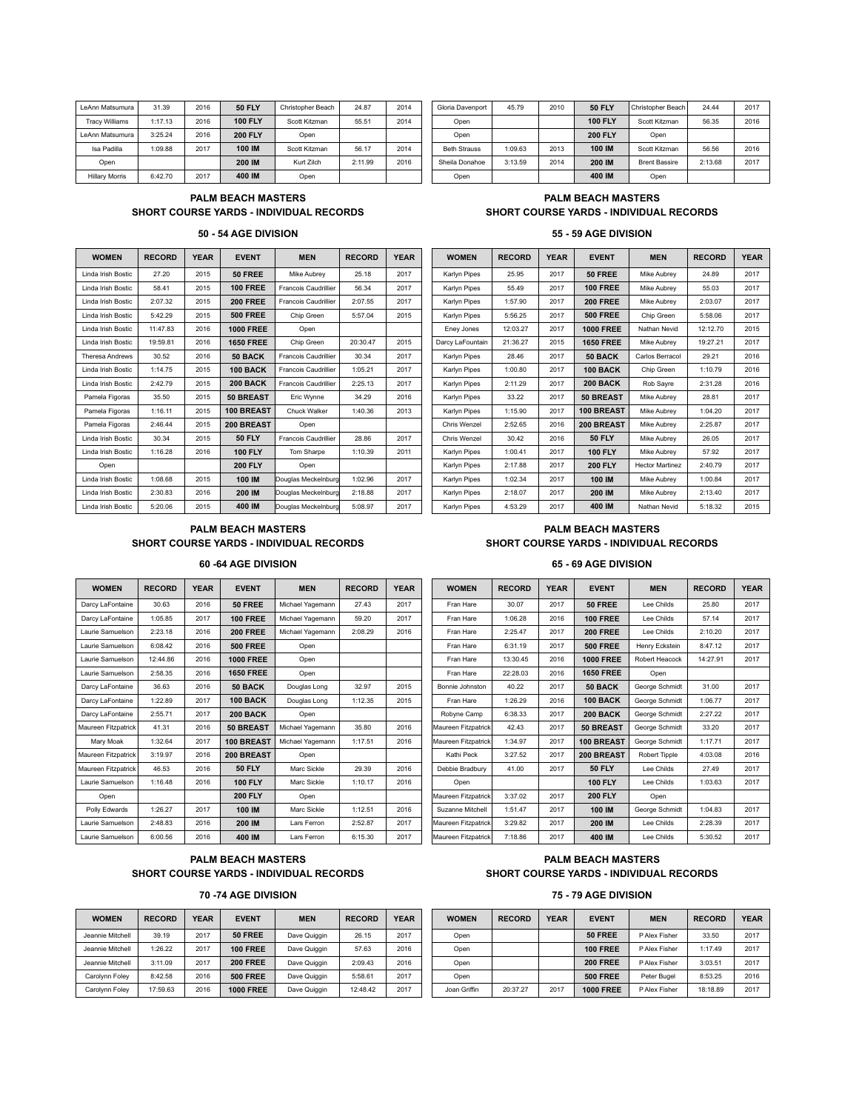| <b>50 FLY</b><br>31.39<br><b>50 FLY</b><br>2010<br>24.87<br>2014<br>45.79<br>24.44<br>2016<br>LeAnn Matsumura<br>Gloria Davenport<br>Christopher Beach<br>Christopher Beach<br><b>100 FLY</b><br><b>100 FLY</b><br>1:17.13<br>2016<br>2014<br>56.35<br>55.51<br><b>Tracy Williams</b><br>Scott Kitzman<br>Scott Kitzman<br>Open<br><b>200 FLY</b><br><b>200 FLY</b><br>2016<br>3:25.24<br>Open<br>LeAnn Matsumura<br>Open<br>Open<br>100 IM<br>100 IM<br>2014<br>1:09.63<br>2013<br>56.56<br>1:09.88<br>2017<br>56.17<br>Isa Padilla<br><b>Beth Strauss</b><br>Scott Kitzman<br>Scott Kitzman<br>2014<br>200 IM<br>2016<br>200 IM<br>3:13.59<br>2:13.68<br>2:11.99<br>Kurt Zilch<br>Sheila Donahoe<br><b>Brent Bassire</b><br>Open<br>6:42.70<br>2017<br>400 IM<br>400 IM<br>Open<br><b>Hillary Morris</b><br>Open<br>Open |  |  |  |  |  |  |  |      |
|----------------------------------------------------------------------------------------------------------------------------------------------------------------------------------------------------------------------------------------------------------------------------------------------------------------------------------------------------------------------------------------------------------------------------------------------------------------------------------------------------------------------------------------------------------------------------------------------------------------------------------------------------------------------------------------------------------------------------------------------------------------------------------------------------------------------------|--|--|--|--|--|--|--|------|
|                                                                                                                                                                                                                                                                                                                                                                                                                                                                                                                                                                                                                                                                                                                                                                                                                            |  |  |  |  |  |  |  | 2017 |
|                                                                                                                                                                                                                                                                                                                                                                                                                                                                                                                                                                                                                                                                                                                                                                                                                            |  |  |  |  |  |  |  | 2016 |
|                                                                                                                                                                                                                                                                                                                                                                                                                                                                                                                                                                                                                                                                                                                                                                                                                            |  |  |  |  |  |  |  |      |
|                                                                                                                                                                                                                                                                                                                                                                                                                                                                                                                                                                                                                                                                                                                                                                                                                            |  |  |  |  |  |  |  | 2016 |
|                                                                                                                                                                                                                                                                                                                                                                                                                                                                                                                                                                                                                                                                                                                                                                                                                            |  |  |  |  |  |  |  | 2017 |
|                                                                                                                                                                                                                                                                                                                                                                                                                                                                                                                                                                                                                                                                                                                                                                                                                            |  |  |  |  |  |  |  |      |

| Ann Matsumura         | 31.39   | 2016 | <b>50 FLY</b>  | Christopher Beach | 24.87   | 2014 | Gloria Davenport    | 45.79   | 2010 | <b>50 FLY</b>  | Christopher Beach    | 24.44   | 2017 |
|-----------------------|---------|------|----------------|-------------------|---------|------|---------------------|---------|------|----------------|----------------------|---------|------|
| <b>Tracy Williams</b> | 1:17.13 | 2016 | <b>100 FLY</b> | Scott Kitzman     | 55.5'   | 2014 | Open                |         |      | <b>100 FLY</b> | Scott Kitzman        | 56.35   | 2016 |
| Ann Matsumura         | 3:25.24 | 2016 | <b>200 FLY</b> | Open              |         |      | Open                |         |      | <b>200 FLY</b> | Open                 |         |      |
| Isa Padilla           | 1:09.88 | 2017 | 100 IM         | Scott Kitzman     | 56.17   | 2014 | <b>Beth Strauss</b> | 1:09.63 | 2013 | 100 IM         | Scott Kitzman        | 56.56   | 2016 |
| Open                  |         |      | 200 IM         | Kurt Zilch        | 2:11.99 | 2016 | Sheila Donahoe      | 3:13.59 | 2014 | 200 IM         | <b>Brent Bassire</b> | 2:13.68 | 2017 |
| <b>Hillary Morris</b> | 6:42.70 | 2017 | 400 IM         | Open              |         |      | Open                |         |      | 400 IM         | Open                 |         |      |

### **PALM BEACH MASTERS PALM BEACH MASTERS SHORT COURSE YARDS - INDIVIDUAL RECORDS SHORT COURSE YARDS - INDIVIDUAL RECORDS**

### **50 - 54 AGE DIVISION 55 - 59 AGE DIVISION**

| <b>WOMEN</b>           | <b>RECORD</b> | <b>YEAR</b> | <b>EVENT</b>      | <b>MEN</b>                  | <b>RECORD</b> | <b>YEAR</b> | <b>WOMEN</b>     | <b>RECORD</b> | <b>YEAR</b> | <b>EVENT</b>     | <b>MEN</b>             | <b>RECORD</b> | YEA  |
|------------------------|---------------|-------------|-------------------|-----------------------------|---------------|-------------|------------------|---------------|-------------|------------------|------------------------|---------------|------|
| Linda Irish Bostic     | 27.20         | 2015        | 50 FREE           | Mike Aubrev                 | 25.18         | 2017        | Karlyn Pipes     | 25.95         | 2017        | <b>50 FREE</b>   | Mike Aubrev            | 24.89         | 2017 |
| Linda Irish Bostic     | 58.41         | 2015        | <b>100 FREE</b>   | Francois Caudrillier        | 56.34         | 2017        | Karlyn Pipes     | 55.49         | 2017        | <b>100 FREE</b>  | Mike Aubrev            | 55.03         | 2017 |
| Linda Irish Bostic     | 2:07.32       | 2015        | <b>200 FREE</b>   | <b>Francois Caudrillier</b> | 2:07.55       | 2017        | Karlyn Pipes     | 1:57.90       | 2017        | <b>200 FREE</b>  | Mike Aubrev            | 2:03.07       | 2017 |
| Linda Irish Bostic     | 5:42.29       | 2015        | <b>500 FREE</b>   | Chip Green                  | 5:57.04       | 2015        | Karlyn Pipes     | 5:56.25       | 2017        | <b>500 FREE</b>  | Chip Green             | 5:58.06       | 2017 |
| Linda Irish Bostic     | 11:47.83      | 2016        | <b>1000 FREE</b>  | Open                        |               |             | Eney Jones       | 12:03.27      | 2017        | <b>1000 FREE</b> | Nathan Nevid           | 12:12.70      | 2015 |
| Linda Irish Bostic     | 19:59.81      | 2016        | <b>1650 FREE</b>  | Chip Green                  | 20:30.47      | 2015        | Darcy LaFountain | 21:36.27      | 2015        | <b>1650 FREE</b> | Mike Aubrev            | 19:27.21      | 2017 |
| <b>Theresa Andrews</b> | 30.52         | 2016        | 50 BACK           | <b>Francois Caudrillier</b> | 30.34         | 2017        | Karlyn Pipes     | 28.46         | 2017        | 50 BACK          | Carlos Berracol        | 29.21         | 2016 |
| Linda Irish Bostic     | 1:14.75       | 2015        | <b>100 BACK</b>   | <b>Francois Caudrillier</b> | 1:05.21       | 2017        | Karlyn Pipes     | 1:00.80       | 2017        | 100 BACK         | Chip Green             | 1:10.79       | 2016 |
| Linda Irish Bostic     | 2:42.79       | 2015        | 200 BACK          | <b>Francois Caudrillier</b> | 2:25.13       | 2017        | Karlyn Pipes     | 2:11.29       | 2017        | <b>200 BACK</b>  | Rob Sayre              | 2:31.28       | 2016 |
| Pamela Figoras         | 35.50         | 2015        | <b>50 BREAST</b>  | Eric Wynne                  | 34.29         | 2016        | Karlyn Pipes     | 33.22         | 2017        | <b>50 BREAST</b> | Mike Aubrev            | 28.81         | 2017 |
| Pamela Figoras         | 1:16.11       | 2015        | <b>100 BREAST</b> | Chuck Walker                | 1:40.36       | 2013        | Karlyn Pipes     | 1:15.90       | 2017        | 100 BREAST       | Mike Aubrev            | 1:04.20       | 2017 |
| Pamela Figoras         | 2:46.44       | 2015        | 200 BREAST        | Open                        |               |             | Chris Wenzel     | 2:52.65       | 2016        | 200 BREAST       | Mike Aubrey            | 2:25.87       | 2017 |
| Linda Irish Bostic     | 30.34         | 2015        | <b>50 FLY</b>     | <b>Francois Caudrillier</b> | 28.86         | 2017        | Chris Wenzel     | 30.42         | 2016        | <b>50 FLY</b>    | Mike Aubrey            | 26.05         | 2017 |
| Linda Irish Bostic     | 1:16.28       | 2016        | <b>100 FLY</b>    | Tom Sharpe                  | 1:10.39       | 2011        | Karlyn Pipes     | 1:00.41       | 2017        | <b>100 FLY</b>   | Mike Aubrev            | 57.92         | 2017 |
| Open                   |               |             | <b>200 FLY</b>    | Open                        |               |             | Karlyn Pipes     | 2:17.88       | 2017        | <b>200 FLY</b>   | <b>Hector Martinez</b> | 2:40.79       | 2017 |
| Linda Irish Bostic     | 1:08.68       | 2015        | 100 IM            | Douglas Meckelnburg         | 1:02.96       | 2017        | Karlyn Pipes     | 1:02.34       | 2017        | 100 IM           | Mike Aubrey            | 1:00.84       | 2017 |
| Linda Irish Bostic     | 2:30.83       | 2016        | 200 IM            | Douglas Meckelnburg         | 2:18.88       | 2017        | Karlyn Pipes     | 2:18.07       | 2017        | 200 IM           | Mike Aubrev            | 2:13.40       | 2017 |
| Linda Irish Bostic     | 5:20.06       | 2015        | 400 IM            | Douglas Meckelnburg         | 5:08.97       | 2017        | Karlyn Pipes     | 4:53.29       | 2017        | 400 IM           | Nathan Nevid           | 5:18.32       | 2015 |

|                 |               |             | <b>PALM BEACH MASTERS</b> | <b>SHORT COURSE YARDS - INDIVIDUAL RECORDS</b> |               |             |                     |               |             | <b>PALM BEACH MASTERS</b> | <b>SHORT COURSE YARDS - INDIVIDUAL RECORDS</b> |               |             |
|-----------------|---------------|-------------|---------------------------|------------------------------------------------|---------------|-------------|---------------------|---------------|-------------|---------------------------|------------------------------------------------|---------------|-------------|
|                 |               |             | 50 - 54 AGE DIVISION      |                                                |               |             |                     |               |             | 55 - 59 AGE DIVISION      |                                                |               |             |
| <b>WOMEN</b>    | <b>RECORD</b> | <b>YEAR</b> | <b>EVENT</b>              | <b>MEN</b>                                     | <b>RECORD</b> | <b>YEAR</b> | <b>WOMEN</b>        | <b>RECORD</b> | <b>YEAR</b> | <b>EVENT</b>              | <b>MEN</b>                                     | <b>RECORD</b> | <b>YEAR</b> |
| da Irish Bostic | 27.20         | 2015        | 50 FREE                   | Mike Aubrev                                    | 25.18         | 2017        | Karlyn Pipes        | 25.95         | 2017        | <b>50 FREE</b>            | Mike Aubrev                                    | 24.89         | 2017        |
| da Irish Bostic | 58.41         | 2015        | <b>100 FREE</b>           | <b>Francois Caudrillier</b>                    | 56.34         | 2017        | <b>Karlyn Pipes</b> | 55.49         | 2017        | <b>100 FREE</b>           | Mike Aubrey                                    | 55.03         | 2017        |
| da Irish Bostic | 2:07.32       | 2015        | <b>200 FREE</b>           | <b>Francois Caudrillier</b>                    | 2:07.55       | 2017        | Karlyn Pipes        | 1:57.90       | 2017        | <b>200 FREE</b>           | Mike Aubrey                                    | 2:03.07       | 2017        |
| da Irish Bostic | 5:42.29       | 2015        | <b>500 FREE</b>           | Chip Green                                     | 5:57.04       | 2015        | <b>Karlyn Pipes</b> | 5:56.25       | 2017        | <b>500 FREE</b>           | Chip Green                                     | 5:58.06       | 2017        |
| da Irish Bostic | 11:47.83      | 2016        | <b>1000 FREE</b>          | Open                                           |               |             | Eney Jones          | 12:03.27      | 2017        | <b>1000 FREE</b>          | Nathan Nevid                                   | 12:12.70      | 2015        |
| da Irish Bostic | 19:59.81      | 2016        | <b>1650 FREE</b>          | Chip Green                                     | 20:30.47      | 2015        | Darcy LaFountain    | 21:36.27      | 2015        | <b>1650 FREE</b>          | Mike Aubrev                                    | 19:27.21      | 2017        |
| resa Andrews    | 30.52         | 2016        | 50 BACK                   | <b>Francois Caudrillier</b>                    | 30.34         | 2017        | Karlyn Pipes        | 28.46         | 2017        | 50 BACK                   | Carlos Berracol                                | 29.21         | 2016        |
| da Irish Bostic | 1:14.75       | 2015        | 100 BACK                  | <b>Francois Caudrillier</b>                    | 1:05.21       | 2017        | Karlyn Pipes        | 1:00.80       | 2017        | 100 BACK                  | Chip Green                                     | 1:10.79       | 2016        |
| da Irish Bostic | 2:42.79       | 2015        | <b>200 BACK</b>           | <b>Francois Caudrillier</b>                    | 2:25.13       | 2017        | Karlyn Pipes        | 2:11.29       | 2017        | <b>200 BACK</b>           | Rob Sayre                                      | 2:31.28       | 2016        |
| mela Figoras    | 35.50         | 2015        | <b>50 BREAST</b>          | Eric Wynne                                     | 34.29         | 2016        | Karlyn Pipes        | 33.22         | 2017        | <b>50 BREAST</b>          | Mike Aubrey                                    | 28.81         | 2017        |
| mela Figoras    | 1:16.11       | 2015        | <b>100 BREAST</b>         | Chuck Walker                                   | 1:40.36       | 2013        | <b>Karlyn Pipes</b> | 1:15.90       | 2017        | <b>100 BREAST</b>         | Mike Aubrev                                    | 1:04.20       | 2017        |
| mela Figoras    | 2:46.44       | 2015        | 200 BREAST                | Open                                           |               |             | Chris Wenzel        | 2:52.65       | 2016        | 200 BREAST                | Mike Aubrev                                    | 2:25.87       | 2017        |
| da Irish Bostic | 30.34         | 2015        | <b>50 FLY</b>             | <b>Francois Caudrillier</b>                    | 28.86         | 2017        | Chris Wenzel        | 30.42         | 2016        | <b>50 FLY</b>             | Mike Aubrev                                    | 26.05         | 2017        |
| da Irish Bostic | 1:16.28       | 2016        | <b>100 FLY</b>            | Tom Sharpe                                     | 1:10.39       | 2011        | Karlyn Pipes        | 1:00.41       | 2017        | <b>100 FLY</b>            | Mike Aubrey                                    | 57.92         | 2017        |
| Open            |               |             | <b>200 FLY</b>            | Open                                           |               |             | <b>Karlyn Pipes</b> | 2:17.88       | 2017        | <b>200 FLY</b>            | <b>Hector Martinez</b>                         | 2:40.79       | 2017        |
| da Irish Bostic | 1:08.68       | 2015        | 100 IM                    | Douglas Meckelnburg                            | 1:02.96       | 2017        | Karlyn Pipes        | 1:02.34       | 2017        | 100 IM                    | Mike Aubrev                                    | 1:00.84       | 2017        |

### **PALM BEACH MASTERS PALM BEACH MASTERS SHORT COURSE YARDS - INDIVIDUAL RECORDS SHORT COURSE YARDS - INDIVIDUAL RECORDS**

### **60 -64 AGE DIVISION 65 - 69 AGE DIVISION**

| <b>WOMEN</b>        | <b>RECORD</b> | <b>YEAR</b> | <b>EVENT</b>      | <b>MEN</b>       | <b>RECORD</b> | <b>YEAR</b> | <b>WOMEN</b>        | <b>RECORD</b> | <b>YEAR</b> | <b>EVENT</b>     | <b>MEN</b>     | <b>RECORD</b> | <b>YEAR</b> |
|---------------------|---------------|-------------|-------------------|------------------|---------------|-------------|---------------------|---------------|-------------|------------------|----------------|---------------|-------------|
| Darcy LaFontaine    | 30.63         | 2016        | 50 FREE           | Michael Yagemann | 27.43         | 2017        | Fran Hare           | 30.07         | 2017        | <b>50 FREE</b>   | Lee Childs     | 25.80         | 2017        |
| Darcy LaFontaine    | 1:05.85       | 2017        | <b>100 FREE</b>   | Michael Yagemann | 59.20         | 2017        | Fran Hare           | 1:06.28       | 2016        | <b>100 FREE</b>  | Lee Childs     | 57.14         | 2017        |
| Laurie Samuelson    | 2:23.18       | 2016        | <b>200 FREE</b>   | Michael Yagemann | 2:08.29       | 2016        | Fran Hare           | 2:25.47       | 2017        | <b>200 FREE</b>  | Lee Childs     | 2:10.20       | 2017        |
| Laurie Samuelson    | 6:08.42       | 2016        | <b>500 FREE</b>   | Open             |               |             | Fran Hare           | 6:31.19       | 2017        | <b>500 FREE</b>  | Henry Eckstein | 8:47.12       | 2017        |
| Laurie Samuelson    | 12:44.86      | 2016        | <b>1000 FREE</b>  | Open             |               |             | Fran Hare           | 13:30.45      | 2016        | <b>1000 FREE</b> | Robert Heacock | 14:27.91      | 2017        |
| Laurie Samuelson    | 2:58.35       | 2016        | <b>1650 FREE</b>  | Open             |               |             | Fran Hare           | 22:28.03      | 2016        | <b>1650 FREE</b> | Open           |               |             |
| Darcy LaFontaine    | 36.63         | 2016        | 50 BACK           | Douglas Long     | 32.97         | 2015        | Bonnie Johnston     | 40.22         | 2017        | 50 BACK          | George Schmidt | 31.00         | 2017        |
| Darcy LaFontaine    | 1:22.89       | 2017        | 100 BACK          | Douglas Long     | 1:12.35       | 2015        | Fran Hare           | 1:26.29       | 2016        | 100 BACK         | George Schmidt | 1:06.77       | 2017        |
| Darcy LaFontaine    | 2:55.71       | 2017        | <b>200 BACK</b>   | Open             |               |             | Robyne Camp         | 6:38.33       | 2017        | <b>200 BACK</b>  | George Schmidt | 2:27.22       | 2017        |
| Maureen Fitzpatrick | 41.31         | 2016        | <b>50 BREAST</b>  | Michael Yagemann | 35.80         | 2016        | Maureen Fitzpatrick | 42.43         | 2017        | <b>50 BREAST</b> | George Schmidt | 33.20         | 2017        |
| Mary Moak           | 1:32.64       | 2017        | <b>100 BREAST</b> | Michael Yagemann | 1:17.51       | 2016        | Maureen Fitzpatrick | 1:34.97       | 2017        | 100 BREAST       | George Schmidt | 1:17.71       | 2017        |
| Maureen Fitzpatrick | 3:19.97       | 2016        | 200 BREAST        | Open             |               |             | Kathi Peck          | 3:27.52       | 2017        | 200 BREAST       | Robert Tipple  | 4:03.08       | 2016        |
| Maureen Fitzpatrick | 46.53         | 2016        | <b>50 FLY</b>     | Marc Sickle      | 29.39         | 2016        | Debbie Bradbury     | 41.00         | 2017        | <b>50 FLY</b>    | Lee Childs     | 27.49         | 2017        |
| Laurie Samuelson    | 1:16.48       | 2016        | <b>100 FLY</b>    | Marc Sickle      | 1:10.17       | 2016        | Open                |               |             | <b>100 FLY</b>   | Lee Childs     | 1:03.63       | 2017        |
| Open                |               |             | <b>200 FLY</b>    | Open             |               |             | Maureen Fitzpatrick | 3:37.02       | 2017        | <b>200 FLY</b>   | Open           |               |             |
| Polly Edwards       | 1:26.27       | 2017        | 100 IM            | Marc Sickle      | 1:12.51       | 2016        | Suzanne Mitchell    | 1:51.47       | 2017        | 100 IM           | George Schmidt | 1:04.83       | 2017        |
| Laurie Samuelson    | 2:48.83       | 2016        | 200 IM            | Lars Ferron      | 2:52.87       | 2017        | Maureen Fitzpatrick | 3:29.82       | 2017        | 200 IM           | Lee Childs     | 2:28.39       | 2017        |
| Laurie Samuelson    | 6:00.56       | 2016        | 400 IM            | Lars Ferron      | 6:15.30       | 2017        | Maureen Fitzpatrick | 7:18.86       | 2017        | 400 IM           | Lee Childs     | 5:30.52       | 2017        |

| Fran Hare           | 2:25.47  | 2017 | <b>200 FRFF</b>  | Lee Childs     | 2:10.20  | 2017 |
|---------------------|----------|------|------------------|----------------|----------|------|
| Fran Hare           | 6:31.19  | 2017 | <b>500 FREE</b>  | Henry Eckstein | 8:47.12  | 2017 |
| Fran Hare           | 13:30.45 | 2016 | <b>1000 FREE</b> | Robert Heacock | 14:27.91 | 2017 |
| Fran Hare           | 22:28.03 | 2016 | <b>1650 FREE</b> | Open           |          |      |
| Bonnie Johnston     | 40.22    | 2017 | 50 BACK          | George Schmidt | 31.00    | 2017 |
| Fran Hare           | 1:26.29  | 2016 | 100 BACK         | George Schmidt | 1:06.77  | 2017 |
| Robyne Camp         | 6:38.33  | 2017 | <b>200 BACK</b>  | George Schmidt | 2:27.22  | 2017 |
| Maureen Fitzpatrick | 42.43    | 2017 | 50 BREAST        | George Schmidt | 33.20    | 2017 |
| Maureen Fitzpatrick | 1:34.97  | 2017 | 100 BREAST       | George Schmidt | 1:17.71  | 2017 |
| Kathi Peck          | 3:27.52  | 2017 | 200 BREAST       | Robert Tipple  | 4:03.08  | 2016 |
| Debbie Bradbury     | 41.00    | 2017 | <b>50 FLY</b>    | Lee Childs     | 27.49    | 2017 |
| Open                |          |      | <b>100 FLY</b>   | Lee Childs     | 1:03.63  | 2017 |
| Maureen Fitzpatrick | 3:37.02  | 2017 | <b>200 FLY</b>   | Open           |          |      |
| Suzanne Mitchell    | 1:51.47  | 2017 | <b>100 IM</b>    | George Schmidt | 1:04.83  | 2017 |
| Maureen Fitzpatrick | 3:29.82  | 2017 | 200 IM           | Lee Childs     | 2:28.39  | 2017 |
| Maureen Fitzpatrick | 7:18.86  | 2017 | 400 IM           | Lee Childs     | 5:30.52  | 2017 |
|                     |          |      |                  |                |          |      |

### **PALM BEACH MASTERS PALM BEACH MASTERS SHORT COURSE YARDS - INDIVIDUAL RECORDS SHORT COURSE YARDS - INDIVIDUAL RECORDS**

| <b>WOMEN</b>     | <b>RECORD</b> | <b>YEAR</b> | <b>EVENT</b>     | <b>MEN</b>   | <b>RECORD</b> | <b>YEAR</b> | <b>WOMEN</b> | <b>RECORD</b> | <b>YEAR</b> | <b>EVENT</b>     | <b>MEN</b>    | <b>RECORD</b> | YEAI |
|------------------|---------------|-------------|------------------|--------------|---------------|-------------|--------------|---------------|-------------|------------------|---------------|---------------|------|
| Jeannie Mitchell | 39.19         | 2017        | <b>50 FREE</b>   | Dave Quiggin | 26.15         | 2017        | Open         |               |             | <b>50 FREE</b>   | P Alex Fisher | 33.50         | 2017 |
| Jeannie Mitchell | 1:26.22       | 2017        | <b>100 FREE</b>  | Dave Quiggin | 57.63         | 2016        | Open         |               |             | <b>100 FREE</b>  | P Alex Fisher | 1:17.49       | 2017 |
| Jeannie Mitchell | 3:11.09       | 2017        | <b>200 FREE</b>  | Dave Quiggin | 2:09.43       | 2016        | Open         |               |             | <b>200 FREE</b>  | P Alex Fisher | 3:03.51       | 2017 |
| Carolynn Foley   | 8:42.58       | 2016        | <b>500 FREE</b>  | Dave Quiggin | 5:58.61       | 2017        | Open         |               |             | <b>500 FREE</b>  | Peter Bugel   | 8:53.25       | 2016 |
| Carolynn Foley   | 17:59.63      | 2016        | <b>1000 FREE</b> | Dave Quiggin | 12:48.42      | 2017        | Joan Griffin | 20:37.27      | 2017        | <b>1000 FREE</b> | P Alex Fisher | 18:18.89      | 2017 |

### **70 -74 AGE DIVISION 75 - 79 AGE DIVISION**

| <b>WOMEN</b>         | <b>RECORD</b> | <b>YEAR</b> | <b>EVENT</b>     | <b>MEN</b>   | <b>RECORD</b> | <b>YEAR</b> | <b>WOMEN</b> | <b>RECORD</b> | <b>YEAR</b> | <b>EVENT</b>     | <b>MEN</b>    | <b>RECORD</b> | <b>YEAR</b> |
|----------------------|---------------|-------------|------------------|--------------|---------------|-------------|--------------|---------------|-------------|------------------|---------------|---------------|-------------|
| annie Mitchell       | 39.19         | 2017        | <b>50 FREE</b>   | Dave Quiggin | 26.15         | 2017        | Open         |               |             | <b>50 FREE</b>   | P Alex Fisher | 33.50         | 2017        |
| annie Mitchell       | 1:26.22       | 2017        | <b>100 FREE</b>  | Dave Quiggin | 57.63         | 2016        | Open         |               |             | <b>100 FREE</b>  | P Alex Fisher | :17.49        | 2017        |
| annie Mitchell       | 3:11.09       | 2017        | <b>200 FREE</b>  | Dave Quiggin | 2:09.43       | 2016        | Open         |               |             | <b>200 FREE</b>  | P Alex Fisher | 3:03.51       | 2017        |
| <b>irolvnn Folev</b> | 8:42.58       | 2016        | <b>500 FREE</b>  | Dave Quiggin | 5:58.61       | 2017        | Open         |               |             | <b>500 FREE</b>  | Peter Bugel   | 8:53.25       | 2016        |
| ırolynn Foley        | 17:59.63      | 2016        | <b>1000 FREE</b> | Dave Quiggin | 12:48.42      | 2017        | Joan Griffin | 20:37.27      | 2017        | <b>1000 FREE</b> | P Alex Fisher | 18:18.89      | 2017        |